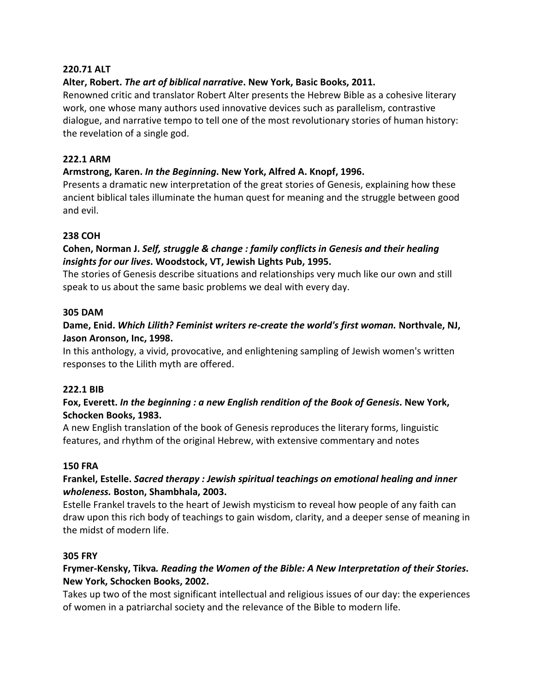## **220.71 ALT**

## **Alter, Robert.** *The art of biblical narrative***. New York, Basic Books, 2011.**

Renowned critic and translator Robert Alter presents the Hebrew Bible as a cohesive literary work, one whose many authors used innovative devices such as parallelism, contrastive dialogue, and narrative tempo to tell one of the most revolutionary stories of human history: the revelation of a single god.

## **222.1 ARM**

## **Armstrong, Karen.** *In the Beginning***. New York, Alfred A. Knopf, 1996.**

Presents a dramatic new interpretation of the great stories of Genesis, explaining how these ancient biblical tales illuminate the human quest for meaning and the struggle between good and evil.

### **238 COH**

## **Cohen, Norman J.** *Self, struggle & change : family conflicts in Genesis and their healing insights for our lives***. Woodstock, VT, Jewish Lights Pub, 1995.**

The stories of Genesis describe situations and relationships very much like our own and still speak to us about the same basic problems we deal with every day.

### **305 DAM**

## **Dame, Enid.** *Which Lilith? Feminist writers re-create the world's first woman.* **Northvale, NJ, Jason Aronson, Inc, 1998.**

In this anthology, a vivid, provocative, and enlightening sampling of Jewish women's written responses to the Lilith myth are offered.

### **222.1 BIB**

## **Fox, Everett.** *In the beginning : a new English rendition of the Book of Genesis***. New York, Schocken Books, 1983.**

A new English translation of the book of Genesis reproduces the literary forms, linguistic features, and rhythm of the original Hebrew, with extensive commentary and notes

### **150 FRA**

## **Frankel, Estelle.** *Sacred therapy : Jewish spiritual teachings on emotional healing and inner wholeness.* **Boston, Shambhala, 2003.**

Estelle Frankel travels to the heart of Jewish mysticism to reveal how people of any faith can draw upon this rich body of teachings to gain wisdom, clarity, and a deeper sense of meaning in the midst of modern life.

### **305 FRY**

# **Frymer-Kensky, Tikva***. Reading the Women of the Bible: A New Interpretation of their Stories***. New York, Schocken Books, 2002.**

Takes up two of the most significant intellectual and religious issues of our day: the experiences of women in a patriarchal society and the relevance of the Bible to modern life.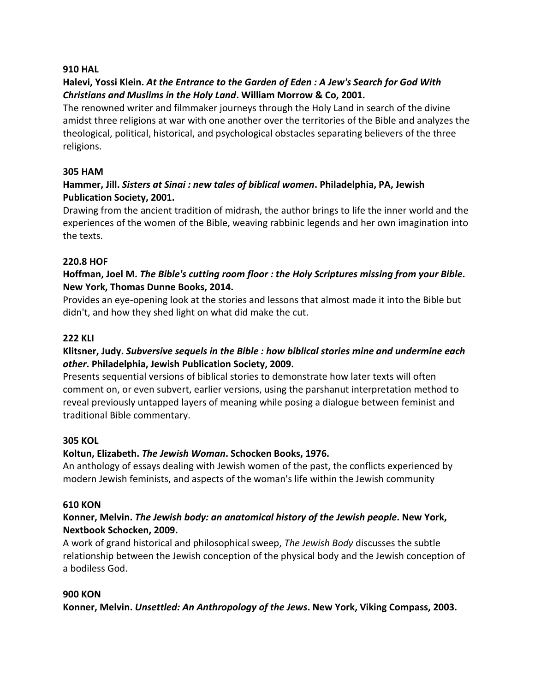### **910 HAL**

# **Halevi, Yossi Klein.** *At the Entrance to the Garden of Eden : A Jew's Search for God With Christians and Muslims in the Holy Land***. William Morrow & Co, 2001.**

The renowned writer and filmmaker journeys through the Holy Land in search of the divine amidst three religions at war with one another over the territories of the Bible and analyzes the theological, political, historical, and psychological obstacles separating believers of the three religions.

## **305 HAM**

# **Hammer, Jill.** *Sisters at Sinai : new tales of biblical women***. Philadelphia, PA, Jewish Publication Society, 2001.**

Drawing from the ancient tradition of midrash, the author brings to life the inner world and the experiences of the women of the Bible, weaving rabbinic legends and her own imagination into the texts.

## **220.8 HOF**

# **Hoffman, Joel M.** *The Bible's cutting room floor : the Holy Scriptures missing from your Bible***. New York, Thomas Dunne Books, 2014.**

Provides an eye-opening look at the stories and lessons that almost made it into the Bible but didn't, and how they shed light on what did make the cut.

### **222 KLI**

# **Klitsner, Judy.** *Subversive sequels in the Bible : how biblical stories mine and undermine each other***. Philadelphia, Jewish Publication Society, 2009.**

Presents sequential versions of biblical stories to demonstrate how later texts will often comment on, or even subvert, earlier versions, using the parshanut interpretation method to reveal previously untapped layers of meaning while posing a dialogue between feminist and traditional Bible commentary.

### **305 KOL**

## **Koltun, Elizabeth.** *The Jewish Woman***. Schocken Books, 1976.**

An anthology of essays dealing with Jewish women of the past, the conflicts experienced by modern Jewish feminists, and aspects of the woman's life within the Jewish community

### **610 KON**

## **Konner, Melvin.** *The Jewish body: an anatomical history of the Jewish people***. New York, Nextbook Schocken, 2009.**

A work of grand historical and philosophical sweep, *The Jewish Body* discusses the subtle relationship between the Jewish conception of the physical body and the Jewish conception of a bodiless God.

### **900 KON**

**Konner, Melvin.** *Unsettled: An Anthropology of the Jews***. New York, Viking Compass, 2003.**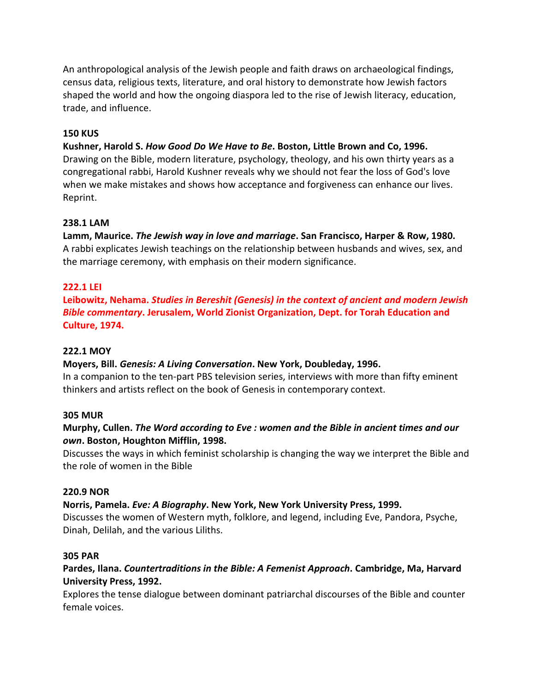An anthropological analysis of the Jewish people and faith draws on archaeological findings, census data, religious texts, literature, and oral history to demonstrate how Jewish factors shaped the world and how the ongoing diaspora led to the rise of Jewish literacy, education, trade, and influence.

## **150 KUS**

## **Kushner, Harold S.** *How Good Do We Have to Be***. Boston, Little Brown and Co, 1996.**

Drawing on the Bible, modern literature, psychology, theology, and his own thirty years as a congregational rabbi, Harold Kushner reveals why we should not fear the loss of God's love when we make mistakes and shows how acceptance and forgiveness can enhance our lives. Reprint.

## **238.1 LAM**

**Lamm, Maurice.** *The Jewish way in love and marriage***. San Francisco, Harper & Row, 1980.**  A rabbi explicates Jewish teachings on the relationship between husbands and wives, sex, and the marriage ceremony, with emphasis on their modern significance.

## **222.1 LEI**

**Leibowitz, Nehama.** *Studies in Bereshit (Genesis) in the context of ancient and modern Jewish Bible commentary***. Jerusalem, World Zionist Organization, Dept. for Torah Education and Culture, 1974.** 

#### **222.1 MOY**

### **Moyers, Bill.** *Genesis: A Living Conversation***. New York, Doubleday, 1996.**

In a companion to the ten-part PBS television series, interviews with more than fifty eminent thinkers and artists reflect on the book of Genesis in contemporary context.

### **305 MUR**

## **Murphy, Cullen.** *The Word according to Eve : women and the Bible in ancient times and our own***. Boston, Houghton Mifflin, 1998.**

Discusses the ways in which feminist scholarship is changing the way we interpret the Bible and the role of women in the Bible

### **220.9 NOR**

### **Norris, Pamela.** *Eve: A Biography***. New York, New York University Press, 1999.**

Discusses the women of Western myth, folklore, and legend, including Eve, Pandora, Psyche, Dinah, Delilah, and the various Liliths.

#### **305 PAR**

## **Pardes, Ilana.** *Countertraditions in the Bible: A Femenist Approach***. Cambridge, Ma, Harvard University Press, 1992.**

Explores the tense dialogue between dominant patriarchal discourses of the Bible and counter female voices.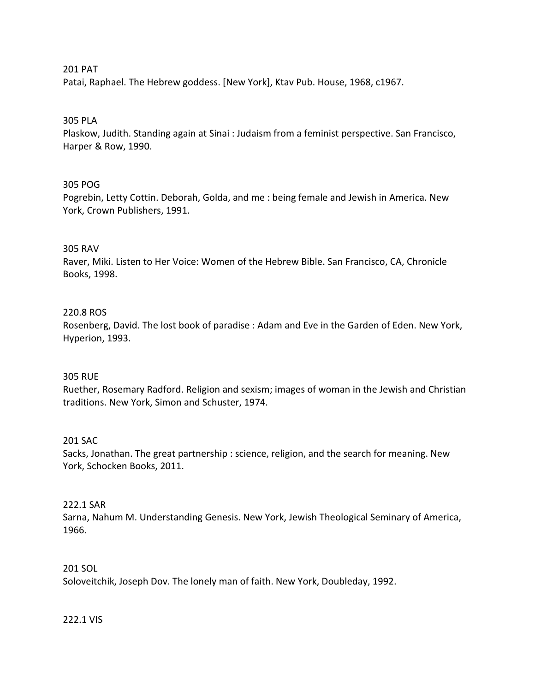### 201 PAT

Patai, Raphael. The Hebrew goddess. [New York], Ktav Pub. House, 1968, c1967.

#### 305 PLA

Plaskow, Judith. Standing again at Sinai : Judaism from a feminist perspective. San Francisco, Harper & Row, 1990.

#### 305 POG

Pogrebin, Letty Cottin. Deborah, Golda, and me : being female and Jewish in America. New York, Crown Publishers, 1991.

#### 305 RAV

Raver, Miki. Listen to Her Voice: Women of the Hebrew Bible. San Francisco, CA, Chronicle Books, 1998.

#### 220.8 ROS

Rosenberg, David. The lost book of paradise : Adam and Eve in the Garden of Eden. New York, Hyperion, 1993.

#### 305 RUE

Ruether, Rosemary Radford. Religion and sexism; images of woman in the Jewish and Christian traditions. New York, Simon and Schuster, 1974.

#### 201 SAC

Sacks, Jonathan. The great partnership : science, religion, and the search for meaning. New York, Schocken Books, 2011.

#### 222.1 SAR

Sarna, Nahum M. Understanding Genesis. New York, Jewish Theological Seminary of America, 1966.

# 201 SOL

Soloveitchik, Joseph Dov. The lonely man of faith. New York, Doubleday, 1992.

#### 222.1 VIS